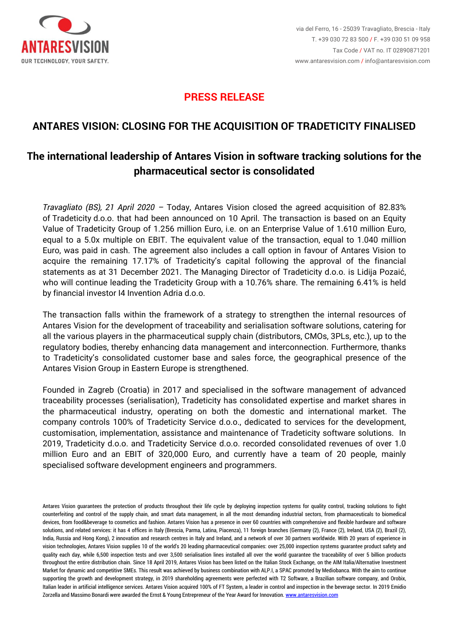

### **PRESS RELEASE**

## **ANTARES VISION: CLOSING FOR THE ACQUISITION OF TRADETICITY FINALISED**

# **The international leadership of Antares Vision in software tracking solutions for the pharmaceutical sector is consolidated**

*Travagliato (BS), 21 April 2020 –* Today, Antares Vision closed the agreed acquisition of 82.83% of Tradeticity d.o.o. that had been announced on 10 April. The transaction is based on an Equity Value of Tradeticity Group of 1.256 million Euro, i.e. on an Enterprise Value of 1.610 million Euro, equal to a 5.0x multiple on EBIT. The equivalent value of the transaction, equal to 1.040 million Euro, was paid in cash. The agreement also includes a call option in favour of Antares Vision to acquire the remaining 17.17% of Tradeticity's capital following the approval of the financial statements as at 31 December 2021. The Managing Director of Tradeticity d.o.o. is Lidija Pozaić, who will continue leading the Tradeticity Group with a 10.76% share. The remaining 6.41% is held by financial investor I4 Invention Adria d.o.o.

The transaction falls within the framework of a strategy to strengthen the internal resources of Antares Vision for the development of traceability and serialisation software solutions, catering for all the various players in the pharmaceutical supply chain (distributors, CMOs, 3PLs, etc.), up to the regulatory bodies, thereby enhancing data management and interconnection. Furthermore, thanks to Tradeticity's consolidated customer base and sales force, the geographical presence of the Antares Vision Group in Eastern Europe is strengthened.

Founded in Zagreb (Croatia) in 2017 and specialised in the software management of advanced traceability processes (serialisation), Tradeticity has consolidated expertise and market shares in the pharmaceutical industry, operating on both the domestic and international market. The company controls 100% of Tradeticity Service d.o.o., dedicated to services for the development, customisation, implementation, assistance and maintenance of Tradeticity software solutions. In 2019, Tradeticity d.o.o. and Tradeticity Service d.o.o. recorded consolidated revenues of over 1.0 million Euro and an EBIT of 320,000 Euro, and currently have a team of 20 people, mainly specialised software development engineers and programmers.

Antares Vision guarantees the protection of products throughout their life cycle by deploying inspection systems for quality control, tracking solutions to fight counterfeiting and control of the supply chain, and smart data management, in all the most demanding industrial sectors, from pharmaceuticals to biomedical devices, from food&beverage to cosmetics and fashion. Antares Vision has a presence in over 60 countries with comprehensive and flexible hardware and software solutions, and related services: it has 4 offices in Italy (Brescia, Parma, Latina, Piacenza), 11 foreign branches (Germany (2), France (2), Ireland, USA (2), Brazil (2), India, Russia and Hong Kong), 2 innovation and research centres in Italy and Ireland, and a network of over 30 partners worldwide. With 20 years of experience in vision technologies, Antares Vision supplies 10 of the world's 20 leading pharmaceutical companies: over 25,000 inspection systems guarantee product safety and quality each day, while 6,500 inspection tests and over 3,500 serialisation lines installed all over the world guarantee the traceability of over 5 billion products throughout the entire distribution chain. Since 18 April 2019, Antares Vision has been listed on the Italian Stock Exchange, on the AIM Italia/Alternative Investment Market for dynamic and competitive SMEs. This result was achieved by business combination with ALP.I, a SPAC promoted by Mediobanca. With the aim to continue supporting the growth and development strategy, in 2019 shareholding agreements were perfected with T2 Software, a Brazilian software company, and Orobix, Italian leader in artificial intelligence services. Antares Vision acquired 100% of FT System, a leader in control and inspection in the beverage sector. In 2019 Emidio Zorzella and Massimo Bonardi were awarded the Ernst & Young Entrepreneur of the Year Award for Innovation[. www.antaresvision.com](http://www.antaresvision.com/)